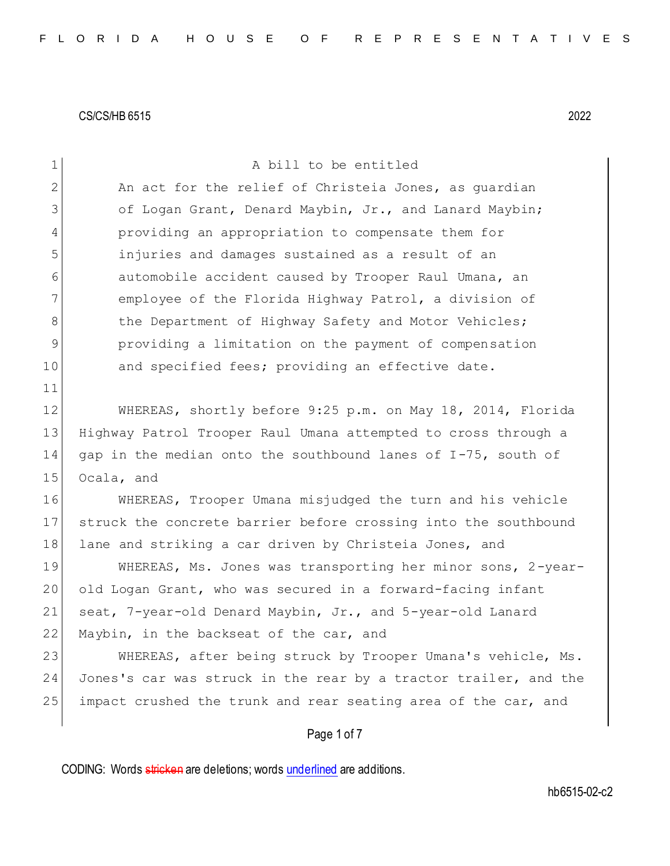| $\mathbf 1$    | A bill to be entitled                                            |
|----------------|------------------------------------------------------------------|
| $\overline{2}$ | An act for the relief of Christeia Jones, as quardian            |
| 3              | of Logan Grant, Denard Maybin, Jr., and Lanard Maybin;           |
| 4              | providing an appropriation to compensate them for                |
| 5              | injuries and damages sustained as a result of an                 |
| 6              | automobile accident caused by Trooper Raul Umana, an             |
| 7              | employee of the Florida Highway Patrol, a division of            |
| 8              | the Department of Highway Safety and Motor Vehicles;             |
| $\mathcal{G}$  | providing a limitation on the payment of compensation            |
| 10             | and specified fees; providing an effective date.                 |
| 11             |                                                                  |
| 12             | WHEREAS, shortly before 9:25 p.m. on May 18, 2014, Florida       |
| 13             | Highway Patrol Trooper Raul Umana attempted to cross through a   |
| 14             | gap in the median onto the southbound lanes of I-75, south of    |
| 15             | Ocala, and                                                       |
| 16             | WHEREAS, Trooper Umana misjudged the turn and his vehicle        |
| 17             | struck the concrete barrier before crossing into the southbound  |
| 18             | lane and striking a car driven by Christeia Jones, and           |
| 19             | WHEREAS, Ms. Jones was transporting her minor sons, 2-year-      |
| 20             | old Logan Grant, who was secured in a forward-facing infant      |
| 21             | seat, 7-year-old Denard Maybin, Jr., and 5-year-old Lanard       |
| 22             | Maybin, in the backseat of the car, and                          |
| 23             | WHEREAS, after being struck by Trooper Umana's vehicle, Ms.      |
| 24             | Jones's car was struck in the rear by a tractor trailer, and the |
| 25             | impact crushed the trunk and rear seating area of the car, and   |
|                | Page 1 of 7                                                      |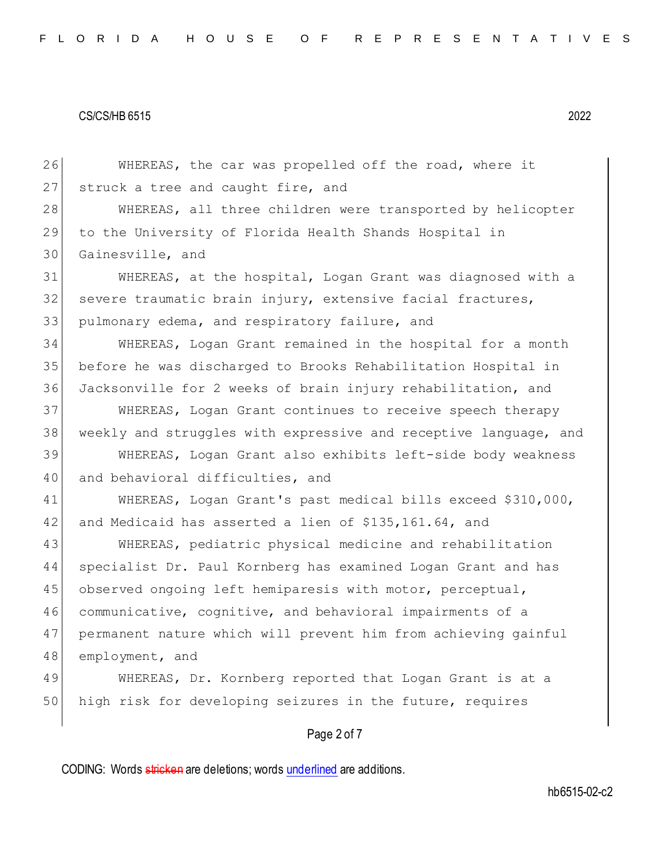26 WHEREAS, the car was propelled off the road, where it 27 struck a tree and caught fire, and 28 WHEREAS, all three children were transported by helicopter 29 to the University of Florida Health Shands Hospital in 30 Gainesville, and 31 WHEREAS, at the hospital, Logan Grant was diagnosed with a 32 severe traumatic brain injury, extensive facial fractures, 33 pulmonary edema, and respiratory failure, and 34 WHEREAS, Logan Grant remained in the hospital for a month 35 before he was discharged to Brooks Rehabilitation Hospital in 36 Jacksonville for 2 weeks of brain injury rehabilitation, and 37 WHEREAS, Logan Grant continues to receive speech therapy 38 weekly and struggles with expressive and receptive language, and 39 WHEREAS, Logan Grant also exhibits left-side body weakness 40 and behavioral difficulties, and 41 WHEREAS, Logan Grant's past medical bills exceed \$310,000, 42 and Medicaid has asserted a lien of \$135,161.64, and 43 WHEREAS, pediatric physical medicine and rehabilitation 44 specialist Dr. Paul Kornberg has examined Logan Grant and has 45 observed ongoing left hemiparesis with motor, perceptual, 46 communicative, cognitive, and behavioral impairments of a 47 permanent nature which will prevent him from achieving gainful 48 employment, and 49 WHEREAS, Dr. Kornberg reported that Logan Grant is at a 50 high risk for developing seizures in the future, requires

## Page 2 of 7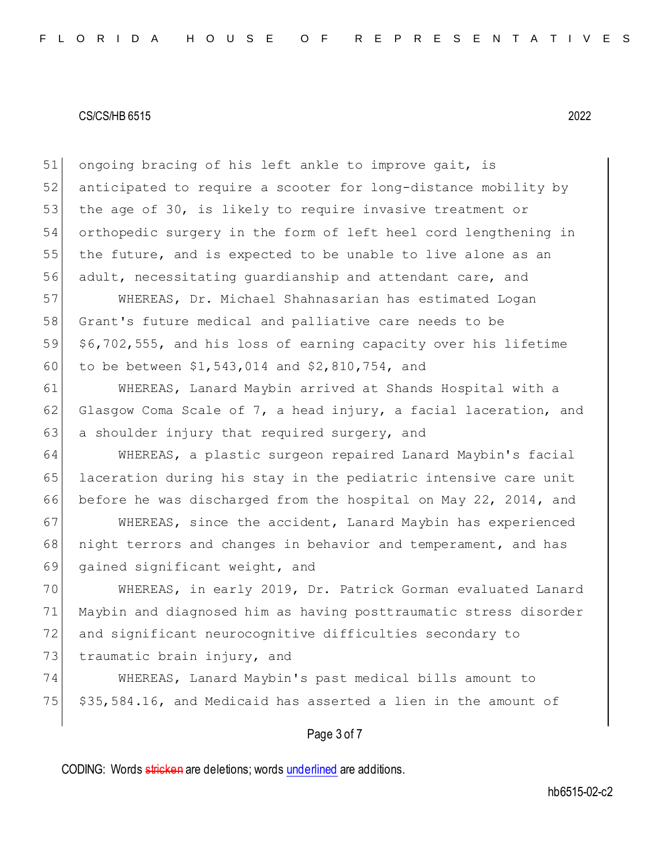51 ongoing bracing of his left ankle to improve gait, is 52 anticipated to require a scooter for long-distance mobility by 53 the age of 30, is likely to require invasive treatment or 54 orthopedic surgery in the form of left heel cord lengthening in 55 the future, and is expected to be unable to live alone as an 56 adult, necessitating guardianship and attendant care, and

 WHEREAS, Dr. Michael Shahnasarian has estimated Logan Grant's future medical and palliative care needs to be \$6,702,555, and his loss of earning capacity over his lifetime to be between \$1,543,014 and \$2,810,754, and

61 WHEREAS, Lanard Maybin arrived at Shands Hospital with a 62 Glasgow Coma Scale of 7, a head injury, a facial laceration, and 63 a shoulder injury that required surgery, and

64 WHEREAS, a plastic surgeon repaired Lanard Maybin's facial 65 laceration during his stay in the pediatric intensive care unit 66 before he was discharged from the hospital on May 22, 2014, and

67 | WHEREAS, since the accident, Lanard Maybin has experienced 68 | night terrors and changes in behavior and temperament, and has 69 gained significant weight, and

 WHEREAS, in early 2019, Dr. Patrick Gorman evaluated Lanard Maybin and diagnosed him as having posttraumatic stress disorder and significant neurocognitive difficulties secondary to 73 traumatic brain injury, and

74 WHEREAS, Lanard Maybin's past medical bills amount to  $75$   $\frac{535}{584.16}$ , and Medicaid has asserted a lien in the amount of

## Page 3 of 7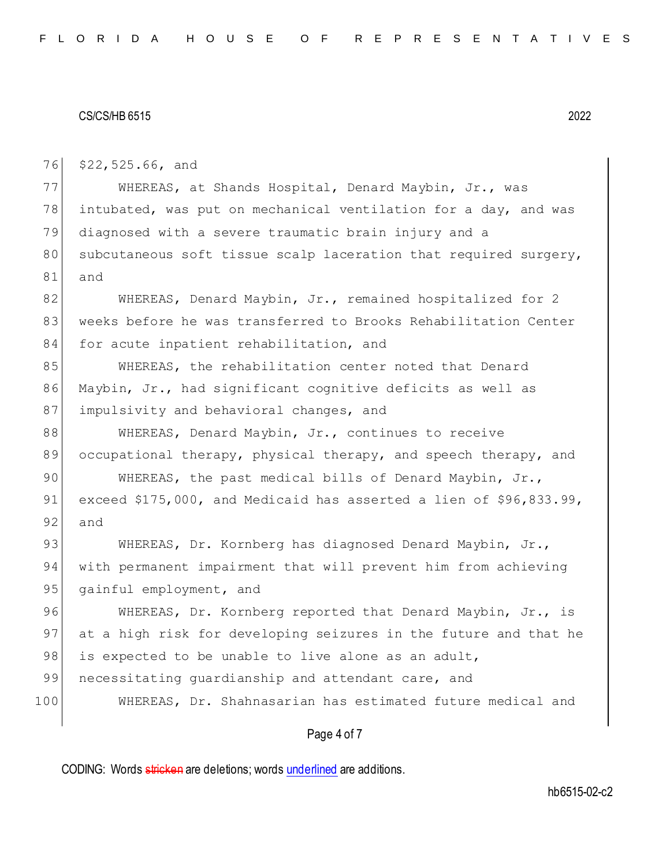76 \$22,525.66, and

77 WHEREAS, at Shands Hospital, Denard Maybin, Jr., was 78 intubated, was put on mechanical ventilation for a day, and was 79 diagnosed with a severe traumatic brain injury and a 80 subcutaneous soft tissue scalp laceration that required surgery, 81 and

82 WHEREAS, Denard Maybin, Jr., remained hospitalized for 2 83 weeks before he was transferred to Brooks Rehabilitation Center 84 for acute inpatient rehabilitation, and

85 WHEREAS, the rehabilitation center noted that Denard 86 Maybin, Jr., had significant cognitive deficits as well as 87 impulsivity and behavioral changes, and

88 WHEREAS, Denard Maybin, Jr., continues to receive 89 occupational therapy, physical therapy, and speech therapy, and

90 WHEREAS, the past medical bills of Denard Maybin, Jr., 91 exceed \$175,000, and Medicaid has asserted a lien of \$96,833.99, 92 and

93 WHEREAS, Dr. Kornberg has diagnosed Denard Maybin, Jr., 94 with permanent impairment that will prevent him from achieving 95 gainful employment, and

96 WHEREAS, Dr. Kornberg reported that Denard Maybin, Jr., is 97 at a high risk for developing seizures in the future and that he 98 is expected to be unable to live alone as an adult,

99 necessitating quardianship and attendant care, and

100 WHEREAS, Dr. Shahnasarian has estimated future medical and

### Page 4 of 7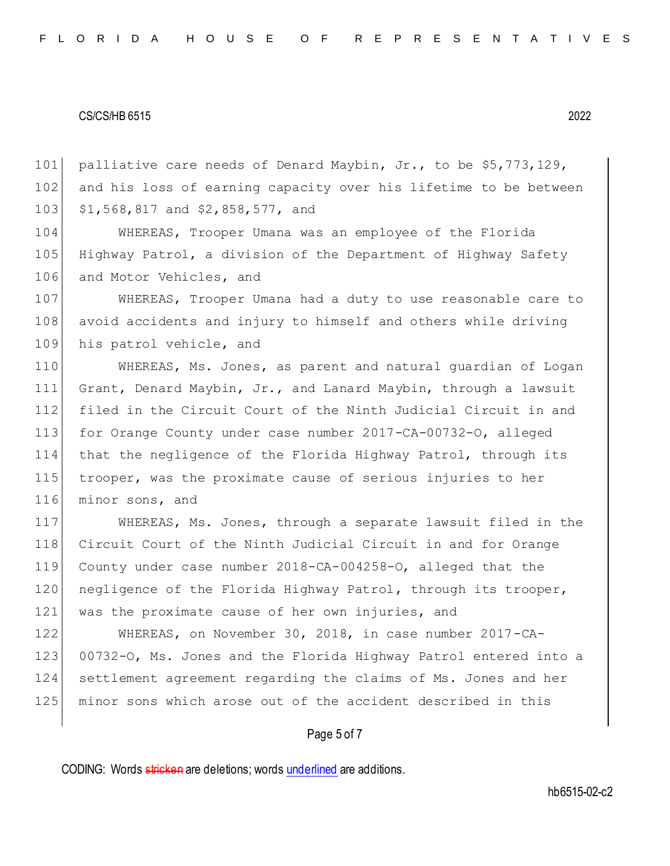101 palliative care needs of Denard Maybin, Jr., to be \$5,773,129, 102 and his loss of earning capacity over his lifetime to be between 103 \$1,568,817 and \$2,858,577, and

104 WHEREAS, Trooper Umana was an employee of the Florida 105 Highway Patrol, a division of the Department of Highway Safety 106 and Motor Vehicles, and

107 WHEREAS, Trooper Umana had a duty to use reasonable care to 108 avoid accidents and injury to himself and others while driving 109 his patrol vehicle, and

 WHEREAS, Ms. Jones, as parent and natural guardian of Logan Grant, Denard Maybin, Jr., and Lanard Maybin, through a lawsuit filed in the Circuit Court of the Ninth Judicial Circuit in and for Orange County under case number 2017-CA-00732-O, alleged that the negligence of the Florida Highway Patrol, through its trooper, was the proximate cause of serious injuries to her 116 minor sons, and

117 WHEREAS, Ms. Jones, through a separate lawsuit filed in the 118 Circuit Court of the Ninth Judicial Circuit in and for Orange 119 County under case number 2018-CA-004258-O, alleged that the 120 negligence of the Florida Highway Patrol, through its trooper, 121 was the proximate cause of her own injuries, and

 WHEREAS, on November 30, 2018, in case number 2017-CA-123 00732-O, Ms. Jones and the Florida Highway Patrol entered into a settlement agreement regarding the claims of Ms. Jones and her minor sons which arose out of the accident described in this

## Page 5 of 7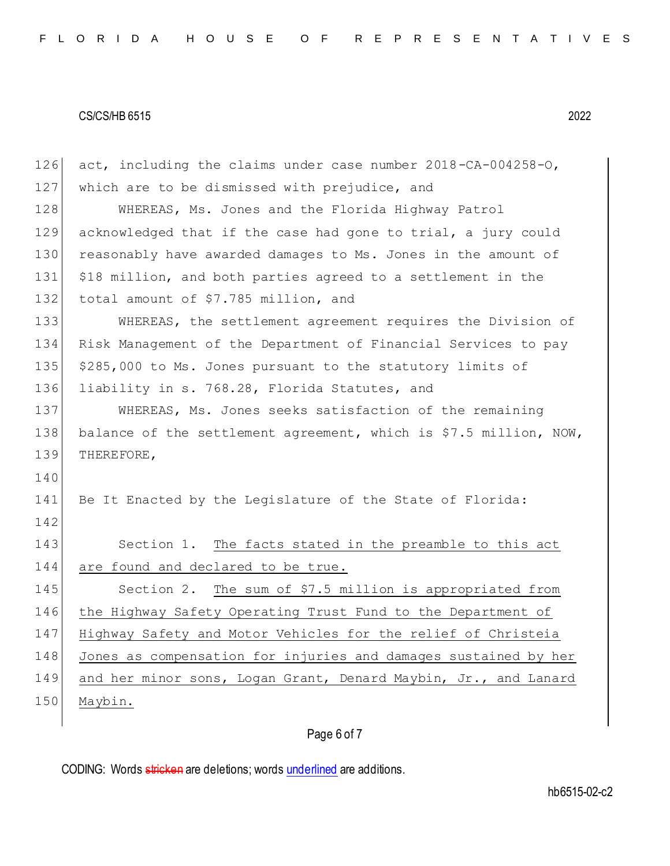126 act, including the claims under case number 2018-CA-004258-O, 127 which are to be dismissed with prejudice, and 128 WHEREAS, Ms. Jones and the Florida Highway Patrol 129 acknowledged that if the case had gone to trial, a jury could 130 reasonably have awarded damages to Ms. Jones in the amount of 131 \$18 million, and both parties agreed to a settlement in the 132 total amount of \$7.785 million, and 133 WHEREAS, the settlement agreement requires the Division of 134 Risk Management of the Department of Financial Services to pay 135 \$285,000 to Ms. Jones pursuant to the statutory limits of 136 liability in s. 768.28, Florida Statutes, and 137 WHEREAS, Ms. Jones seeks satisfaction of the remaining 138 balance of the settlement agreement, which is \$7.5 million, NOW, 139 THEREFORE, 140 141 Be It Enacted by the Legislature of the State of Florida: 142 143 Section 1. The facts stated in the preamble to this act 144 are found and declared to be true. 145 Section 2. The sum of \$7.5 million is appropriated from 146 the Highway Safety Operating Trust Fund to the Department of 147 Highway Safety and Motor Vehicles for the relief of Christeia 148 Jones as compensation for injuries and damages sustained by her 149 and her minor sons, Logan Grant, Denard Maybin, Jr., and Lanard 150 Maybin.

## Page 6 of 7